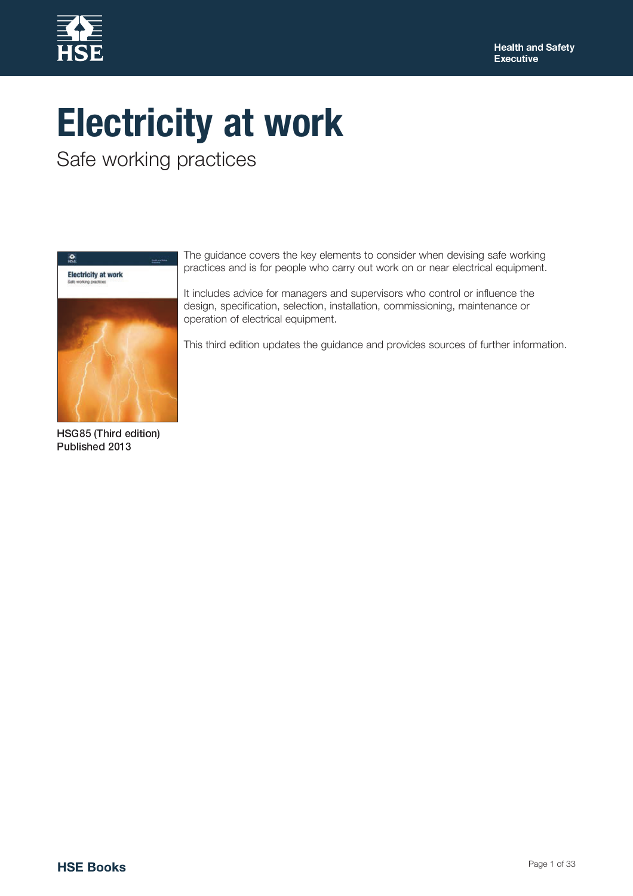

# **Electricity at work**

Safe working practices



HSG85 (Third edition) Published 2013

The guidance covers the key elements to consider when devising safe working practices and is for people who carry out work on or near electrical equipment.

It includes advice for managers and supervisors who control or influence the design, specification, selection, installation, commissioning, maintenance or operation of electrical equipment.

This third edition updates the guidance and provides sources of further information.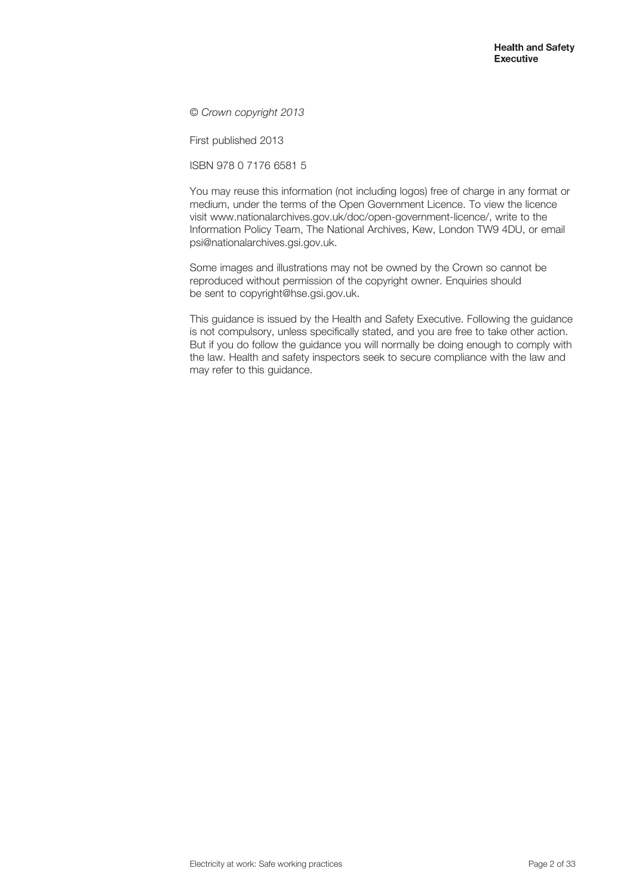*© Crown copyright 2013*

First published 2013

ISBN 978 0 7176 6581 5

You may reuse this information (not including logos) free of charge in any format or medium, under the terms of the Open Government Licence. To view the licence visit www.nationalarchives.gov.uk/doc/open-government-licence/, write to the Information Policy Team, The National Archives, Kew, London TW9 4DU, or email psi@nationalarchives.gsi.gov.uk.

Some images and illustrations may not be owned by the Crown so cannot be reproduced without permission of the copyright owner. Enquiries should be sent to copyright@hse.gsi.gov.uk.

This guidance is issued by the Health and Safety Executive. Following the guidance is not compulsory, unless specifically stated, and you are free to take other action. But if you do follow the guidance you will normally be doing enough to comply with the law. Health and safety inspectors seek to secure compliance with the law and may refer to this guidance.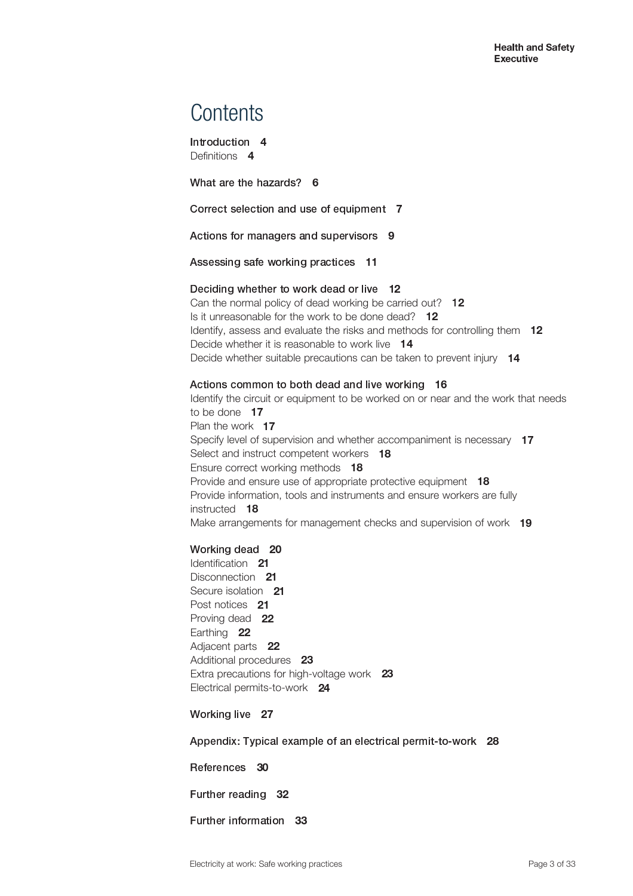### **Contents**

Introduction 4 Definitions 4

What are the hazards?  $6$ 

<sup>2</sup> <sup>+</sup> % \$ <sup>+</sup> . " % <sup>3</sup> <sup>4</sup> " <sup>5</sup> <sup>6</sup> <sup>7</sup>

Actions for managers and supervisors 9

Assessing safe working practices 11

#### Deciding whether to work dead or live 12

Can the normal policy of dead working be carried out? Is it unreasonable for the work to be done dead? Identify, assess and evaluate the risks and methods for controlling them Decide whether it is reasonable to work live Decide whether suitable precautions can be taken to prevent injury

#### Actions common to both dead and live working 16

Identify the circuit or equipment to be worked on or near and the work that needs to be done  $17$ Plan the work 17 Specify level of supervision and whether accompaniment is necessary 17 Select and instruct competent workers **18** Ensure correct working methods 18 Provide and ensure use of appropriate protective equipment 18 Provide information, tools and instruments and ensure workers are fully instructed 18 Make arrangements for management checks and supervision of work 19

#### Working dead 20

Identification 21 Disconnection 21 Secure isolation 21 Post notices 21 Proving dead 22 Earthing 22 Adjacent parts 22 Additional procedures 23 Extra precautions for high-voltage work  $23$ Electrical permits-to-work 24

Working live 27

Appendix: Typical example of an electrical permit-to-work 28

References 30

Further reading 32

Further information 33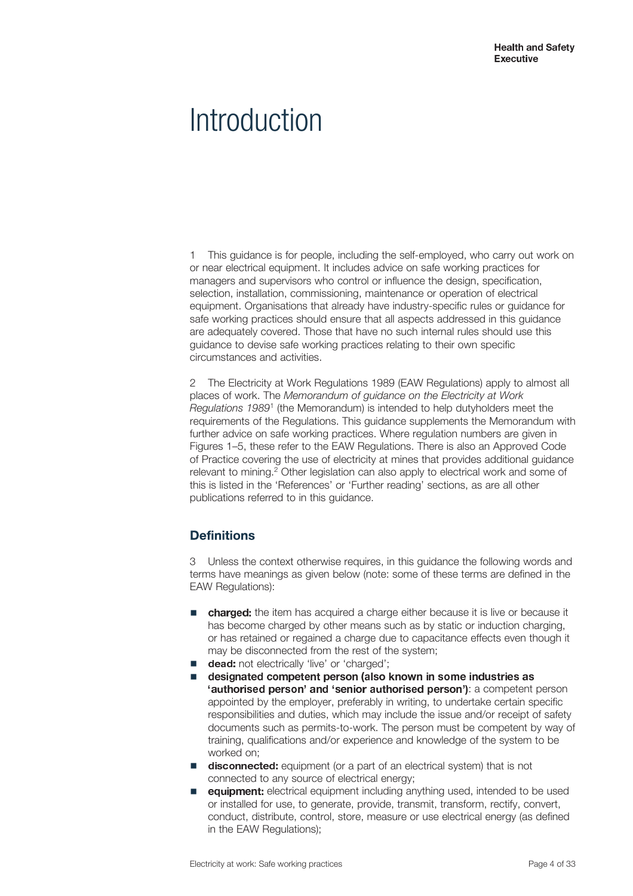### **Introduction**

1 This guidance is for people, including the self-employed, who carry out work on or near electrical equipment. It includes advice on safe working practices for managers and supervisors who control or influence the design, specification, selection, installation, commissioning, maintenance or operation of electrical equipment. Organisations that already have industry-specific rules or guidance for safe working practices should ensure that all aspects addressed in this guidance are adequately covered. Those that have no such internal rules should use this guidance to devise safe working practices relating to their own specific circumstances and activities.

2 The Electricity at Work Regulations 1989 (EAW Regulations) apply to almost all places of work. The *Memorandum of guidance on the Electricity at Work Regulations 1989*<sup>1</sup> (the Memorandum) is intended to help dutyholders meet the requirements of the Regulations. This guidance supplements the Memorandum with further advice on safe working practices. Where regulation numbers are given in Figures 1–5, these refer to the EAW Regulations. There is also an Approved Code of Practice covering the use of electricity at mines that provides additional guidance relevant to mining.<sup>2</sup> Other legislation can also apply to electrical work and some of this is listed in the 'References' or 'Further reading' sections, as are all other publications referred to in this guidance.

### **Definitions**

3 Unless the context otherwise requires, in this guidance the following words and terms have meanings as given below (note: some of these terms are defined in the EAW Regulations):

- charged: the item has acquired a charge either because it is live or because it has become charged by other means such as by static or induction charging, or has retained or regained a charge due to capacitance effects even though it may be disconnected from the rest of the system;
- dead: not electrically 'live' or 'charged';<br>■ designated competent person (also
- $\blacksquare$  designated competent person (also known in some industries a 'senior authorised person'): a competent person appointed by the employer, preferably in writing, to undertake certain specific responsibilities and duties, which may include the issue and/or receipt of safety documents such as permits-to-work. The person must be competent by way of training, qualifications and/or experience and knowledge of the system to be worked on;
- disconnected: equipment (or a part of an electrical system) that is not connected to any source of electrical energy;
- equipment: electrical equipment including anything used, intended to be used or installed for use, to generate, provide, transmit, transform, rectify, convert, conduct, distribute, control, store, measure or use electrical energy (as defined in the EAW Regulations);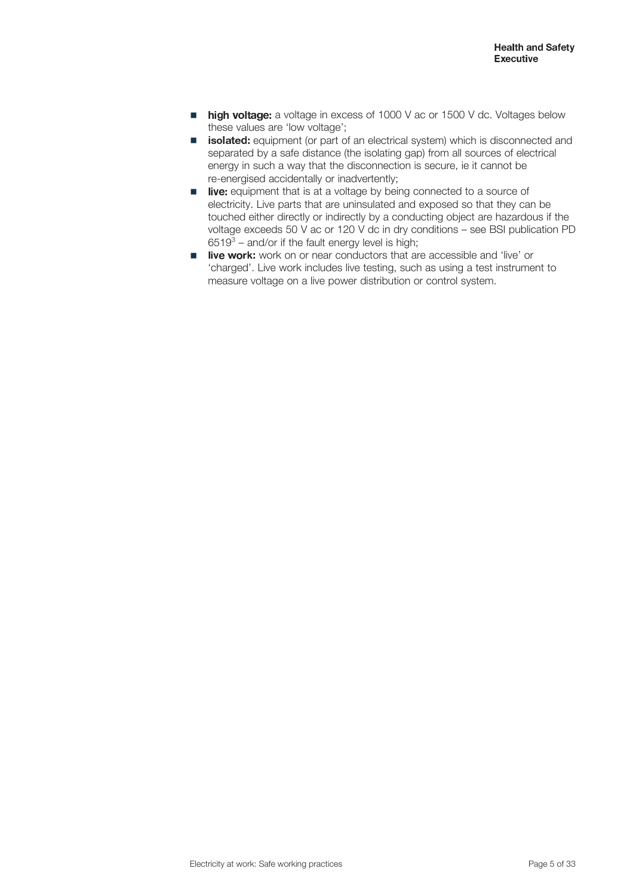- high voltage: a voltage in excess of 1000 V ac or 1500 V dc. Voltages below these values are 'low voltage';
- isolated: equipment (or part of an electrical system) which is disconnected and separated by a safe distance (the isolating gap) from all sources of electrical energy in such a way that the disconnection is secure, ie it cannot be re-energised accidentally or inadvertently;
- live: equipment that is at a voltage by being connected to a source of electricity. Live parts that are uninsulated and exposed so that they can be touched either directly or indirectly by a conducting object are hazardous if the voltage exceeds 50 V ac or 120 V dc in dry conditions – see BSI publication PD  $6519<sup>3</sup>$  – and/or if the fault energy level is high;
- live work: work on or near conductors that are accessible and 'live' or 'charged'. Live work includes live testing, such as using a test instrument to measure voltage on a live power distribution or control system.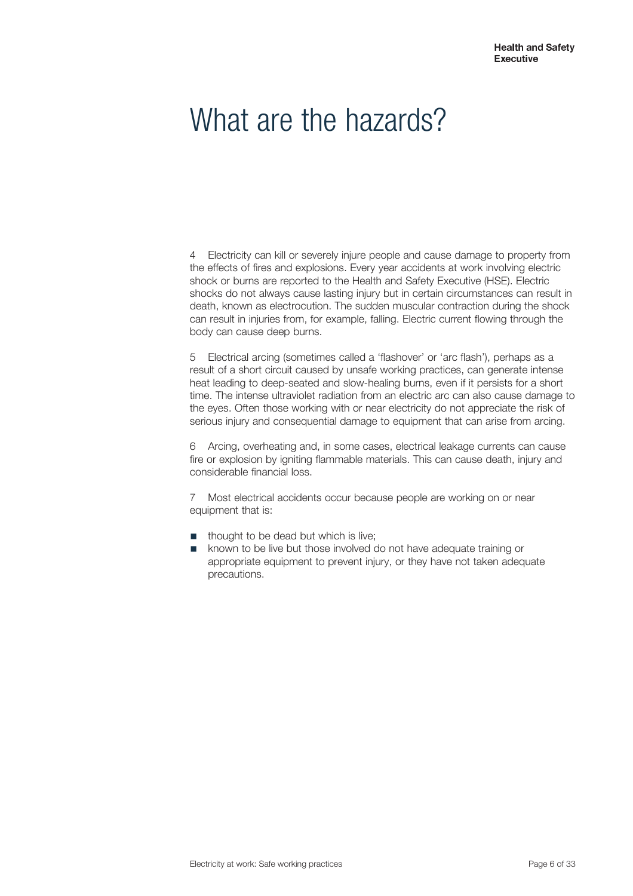### What are the hazards?

4 Electricity can kill or severely injure people and cause damage to property from the effects of fires and explosions. Every year accidents at work involving electric shock or burns are reported to the Health and Safety Executive (HSE). Electric shocks do not always cause lasting injury but in certain circumstances can result in death, known as electrocution. The sudden muscular contraction during the shock can result in injuries from, for example, falling. Electric current flowing through the body can cause deep burns.

5 Electrical arcing (sometimes called a 'flashover' or 'arc flash'), perhaps as a result of a short circuit caused by unsafe working practices, can generate intense heat leading to deep-seated and slow-healing burns, even if it persists for a short time. The intense ultraviolet radiation from an electric arc can also cause damage to the eyes. Often those working with or near electricity do not appreciate the risk of serious injury and consequential damage to equipment that can arise from arcing.

6 Arcing, overheating and, in some cases, electrical leakage currents can cause fire or explosion by igniting flammable materials. This can cause death, injury and considerable financial loss.

7 Most electrical accidents occur because people are working on or near equipment that is:

- thought to be dead but which is live;<br>■ known to be live but those involved c
- known to be live but those involved do not have adequate training or appropriate equipment to prevent injury, or they have not taken adequate precautions.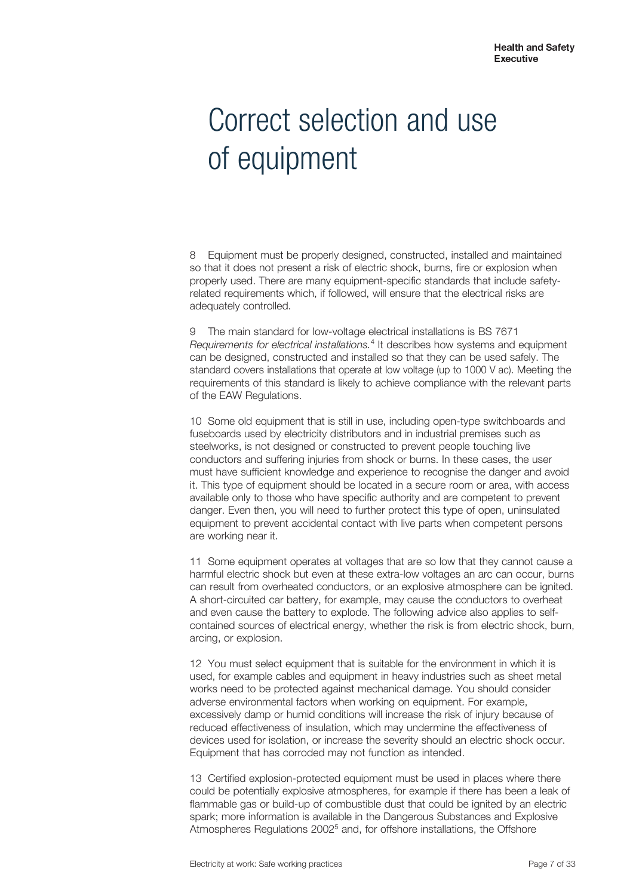# Correct selection and use of equipment

8 Equipment must be properly designed, constructed, installed and maintained so that it does not present a risk of electric shock, burns, fire or explosion when properly used. There are many equipment-specific standards that include safetyrelated requirements which, if followed, will ensure that the electrical risks are adequately controlled.

9 The main standard for low-voltage electrical installations is BS 7671 *Requirements for electrical installations.*<sup>4</sup> It describes how systems and equipment can be designed, constructed and installed so that they can be used safely. The standard covers installations that operate at low voltage (up to 1000 V ac). Meeting the requirements of this standard is likely to achieve compliance with the relevant parts of the EAW Regulations.

10 Some old equipment that is still in use, including open-type switchboards and fuseboards used by electricity distributors and in industrial premises such as steelworks, is not designed or constructed to prevent people touching live conductors and suffering injuries from shock or burns. In these cases, the user must have sufficient knowledge and experience to recognise the danger and avoid it. This type of equipment should be located in a secure room or area, with access available only to those who have specific authority and are competent to prevent danger. Even then, you will need to further protect this type of open, uninsulated equipment to prevent accidental contact with live parts when competent persons are working near it.

11 Some equipment operates at voltages that are so low that they cannot cause a harmful electric shock but even at these extra-low voltages an arc can occur, burns can result from overheated conductors, or an explosive atmosphere can be ignited. A short-circuited car battery, for example, may cause the conductors to overheat and even cause the battery to explode. The following advice also applies to selfcontained sources of electrical energy, whether the risk is from electric shock, burn, arcing, or explosion.

12 You must select equipment that is suitable for the environment in which it is used, for example cables and equipment in heavy industries such as sheet metal works need to be protected against mechanical damage. You should consider adverse environmental factors when working on equipment. For example, excessively damp or humid conditions will increase the risk of injury because of reduced effectiveness of insulation, which may undermine the effectiveness of devices used for isolation, or increase the severity should an electric shock occur. Equipment that has corroded may not function as intended.

13 Certified explosion-protected equipment must be used in places where there could be potentially explosive atmospheres, for example if there has been a leak of flammable gas or build-up of combustible dust that could be ignited by an electric spark; more information is available in the Dangerous Substances and Explosive Atmospheres Regulations 2002<sup>5</sup> and, for offshore installations, the Offshore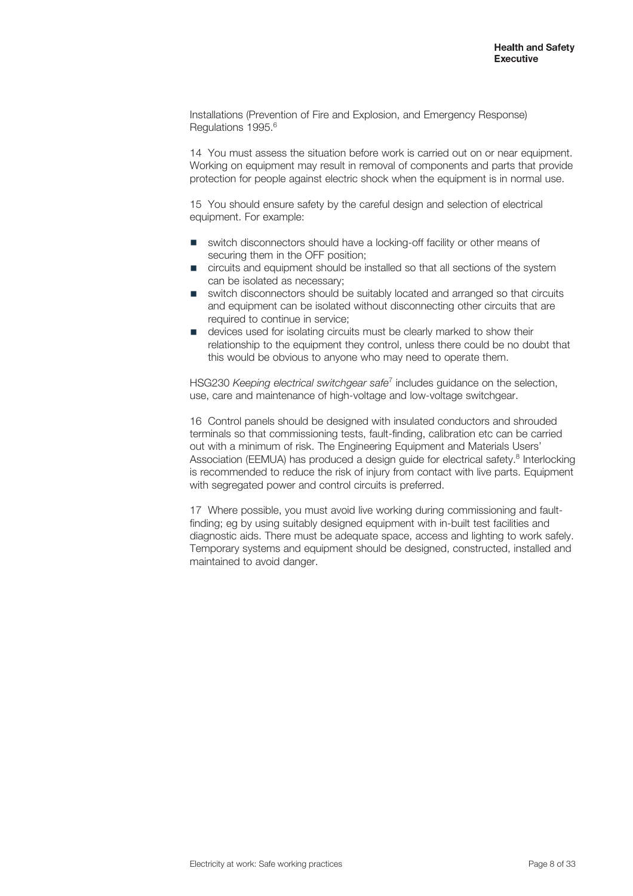Installations (Prevention of Fire and Explosion, and Emergency Response) Regulations 1995.<sup>6</sup>

14 You must assess the situation before work is carried out on or near equipment. Working on equipment may result in removal of components and parts that provide protection for people against electric shock when the equipment is in normal use.

15 You should ensure safety by the careful design and selection of electrical equipment. For example:

- switch disconnectors should have a locking-off facility or other means of securing them in the OFF position;
- circuits and equipment should be installed so that all sections of the system can be isolated as necessary;
- switch disconnectors should be suitably located and arranged so that circuits and equipment can be isolated without disconnecting other circuits that are required to continue in service;
- devices used for isolating circuits must be clearly marked to show their relationship to the equipment they control, unless there could be no doubt that this would be obvious to anyone who may need to operate them.

HSG230 Keeping electrical switchgear safe<sup>7</sup> includes guidance on the selection, use, care and maintenance of high-voltage and low-voltage switchgear.

16 Control panels should be designed with insulated conductors and shrouded terminals so that commissioning tests, fault-finding, calibration etc can be carried out with a minimum of risk. The Engineering Equipment and Materials Users' Association (EEMUA) has produced a design guide for electrical safety.<sup>8</sup> Interlocking is recommended to reduce the risk of injury from contact with live parts. Equipment with segregated power and control circuits is preferred.

17 Where possible, you must avoid live working during commissioning and faultfinding; eg by using suitably designed equipment with in-built test facilities and diagnostic aids. There must be adequate space, access and lighting to work safely. Temporary systems and equipment should be designed, constructed, installed and maintained to avoid danger.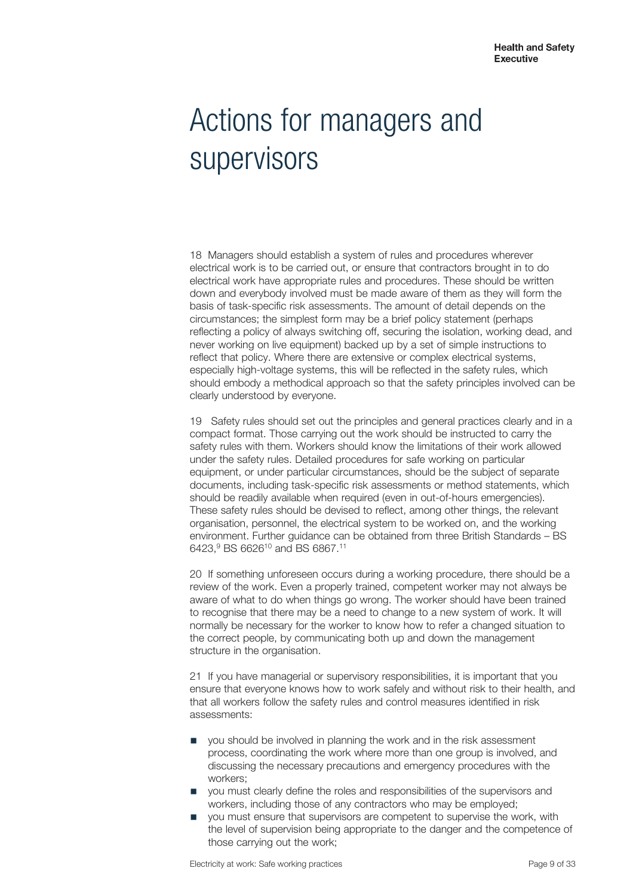### Actions for managers and supervisors

18 Managers should establish a system of rules and procedures wherever electrical work is to be carried out, or ensure that contractors brought in to do electrical work have appropriate rules and procedures. These should be written down and everybody involved must be made aware of them as they will form the basis of task-specific risk assessments. The amount of detail depends on the circumstances; the simplest form may be a brief policy statement (perhaps reflecting a policy of always switching off, securing the isolation, working dead, and never working on live equipment) backed up by a set of simple instructions to reflect that policy. Where there are extensive or complex electrical systems, especially high-voltage systems, this will be reflected in the safety rules, which should embody a methodical approach so that the safety principles involved can be clearly understood by everyone.

19 Safety rules should set out the principles and general practices clearly and in a compact format. Those carrying out the work should be instructed to carry the safety rules with them. Workers should know the limitations of their work allowed under the safety rules. Detailed procedures for safe working on particular equipment, or under particular circumstances, should be the subject of separate documents, including task-specific risk assessments or method statements, which should be readily available when required (even in out-of-hours emergencies). These safety rules should be devised to reflect, among other things, the relevant organisation, personnel, the electrical system to be worked on, and the working environment. Further guidance can be obtained from three British Standards – BS 6423, $^9$  BS 6626 $^{10}$  and BS 6867. $^{11}$ 

20 If something unforeseen occurs during a working procedure, there should be a review of the work. Even a properly trained, competent worker may not always be aware of what to do when things go wrong. The worker should have been trained to recognise that there may be a need to change to a new system of work. It will normally be necessary for the worker to know how to refer a changed situation to the correct people, by communicating both up and down the management structure in the organisation.

21 If you have managerial or supervisory responsibilities, it is important that you ensure that everyone knows how to work safely and without risk to their health, and that all workers follow the safety rules and control measures identified in risk assessments:

- you should be involved in planning the work and in the risk assessment process, coordinating the work where more than one group is involved, and discussing the necessary precautions and emergency procedures with the workers;
- you must clearly define the roles and responsibilities of the supervisors and workers, including those of any contractors who may be employed;
- you must ensure that supervisors are competent to supervise the work, with the level of supervision being appropriate to the danger and the competence of those carrying out the work;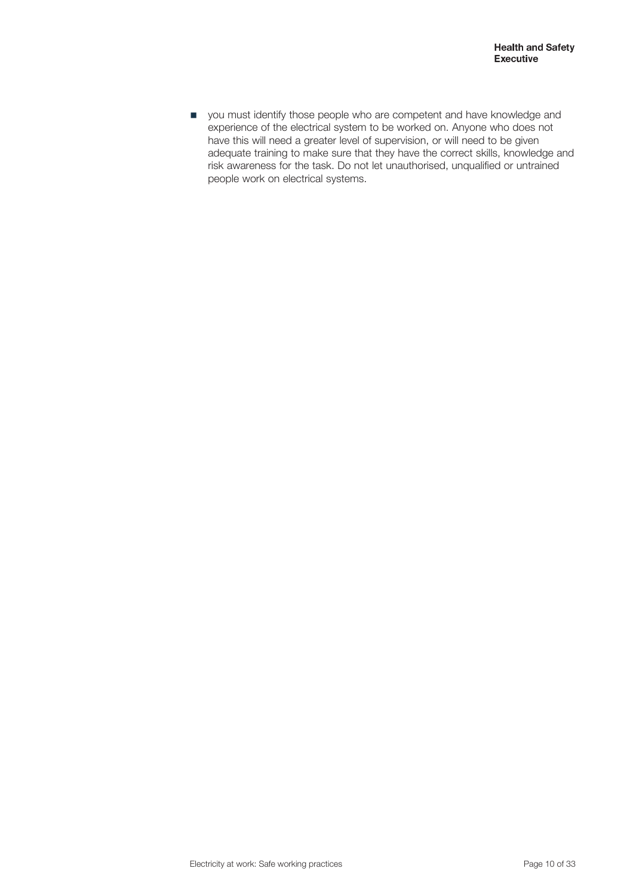■ you must identify those people who are competent and have knowledge and experience of the electrical system to be worked on. Anyone who does not have this will need a greater level of supervision, or will need to be given adequate training to make sure that they have the correct skills, knowledge and risk awareness for the task. Do not let unauthorised, unqualified or untrained people work on electrical systems.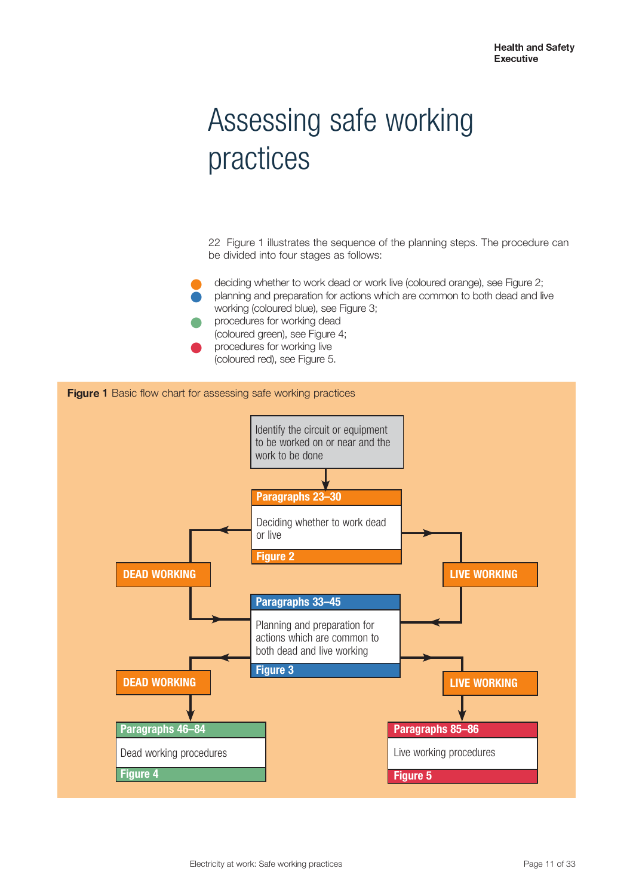# Assessing safe working practices

22 Figure 1 illustrates the sequence of the planning steps. The procedure can be divided into four stages as follows:

deciding whether to work dead or work live (coloured orange), see Figure 2; planning and preparation for actions which are common to both dead and live working (coloured blue), see Figure 3;

- procedures for working dead (coloured green), see Figure 4;
- procedures for working live (coloured red), see Figure 5.

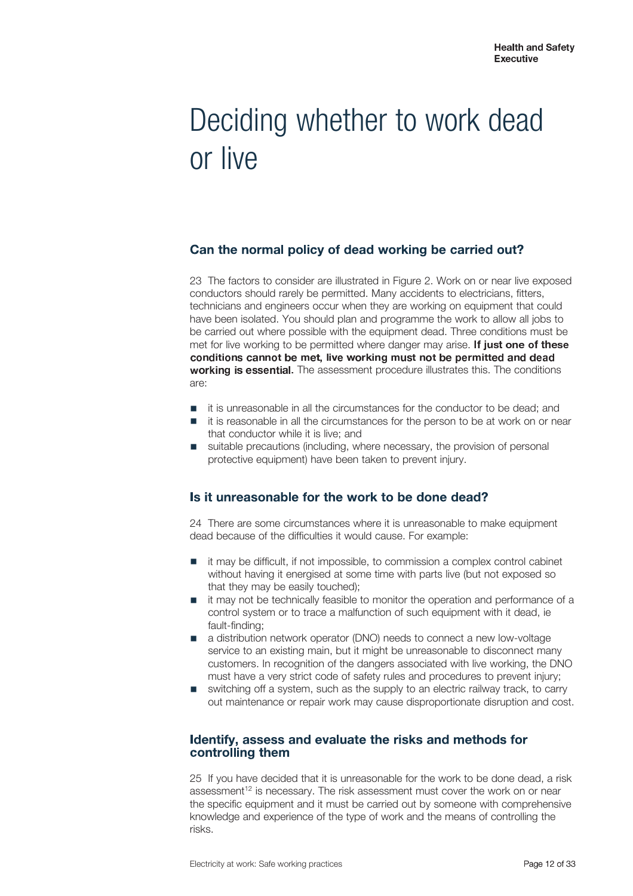# Deciding whether to work dead or live

### Can the normal policy of dead working be carried out?

23 The factors to consider are illustrated in Figure 2. Work on or near live exposed conductors should rarely be permitted. Many accidents to electricians, fitters, technicians and engineers occur when they are working on equipment that could have been isolated. You should plan and programme the work to allow all jobs to be carried out where possible with the equipment dead. Three conditions must be met for live working to be permitted where danger may arise. If just one o conditions cannot be met. live working must not be permitted and dead  $J$  and  $J$  and  $J$  and  $\mathcal{N}$  b  $\mathcal{N}$  and  $\mathcal{N}$  and  $\mathcal{N}$  under  $\mathcal{N}$  and  $\mathcal{N}$  and  $\mathcal{N}$  and  $\mathcal{N}$  and  $\mathcal{N}$  and  $\mathcal{N}$  and  $\mathcal{N}$  and  $\mathcal{N}$  and  $\mathcal{N}$  and  $\mathcal{N}$  and  $\mathcal{N}$  and  $\$ **working is essential.** The assessment procedure illustrates this. The conditions are:

- it is unreasonable in all the circumstances for the conductor to be dead; and
- it is reasonable in all the circumstances for the person to be at work on or near that conductor while it is live; and
- usuitable precautions (including, where necessary, the provision of personal protective equipment) have been taken to prevent injury.

### Is it unreasonable for the work to be done dead?

24 There are some circumstances where it is unreasonable to make equipment dead because of the difficulties it would cause. For example:

- it may be difficult, if not impossible, to commission a complex control cabinet without having it energised at some time with parts live (but not exposed so that they may be easily touched);
- it may not be technically feasible to monitor the operation and performance of a control system or to trace a malfunction of such equipment with it dead, ie fault-finding;
- a distribution network operator (DNO) needs to connect a new low-voltage service to an existing main, but it might be unreasonable to disconnect many customers. In recognition of the dangers associated with live working, the DNO must have a very strict code of safety rules and procedures to prevent injury;
- switching off a system, such as the supply to an electric railway track, to carry out maintenance or repair work may cause disproportionate disruption and cost.

### Identify, assess and evaluate the risks and methods for controlling them

25 If you have decided that it is unreasonable for the work to be done dead, a risk assessment $12$  is necessary. The risk assessment must cover the work on or near the specific equipment and it must be carried out by someone with comprehensive knowledge and experience of the type of work and the means of controlling the risks.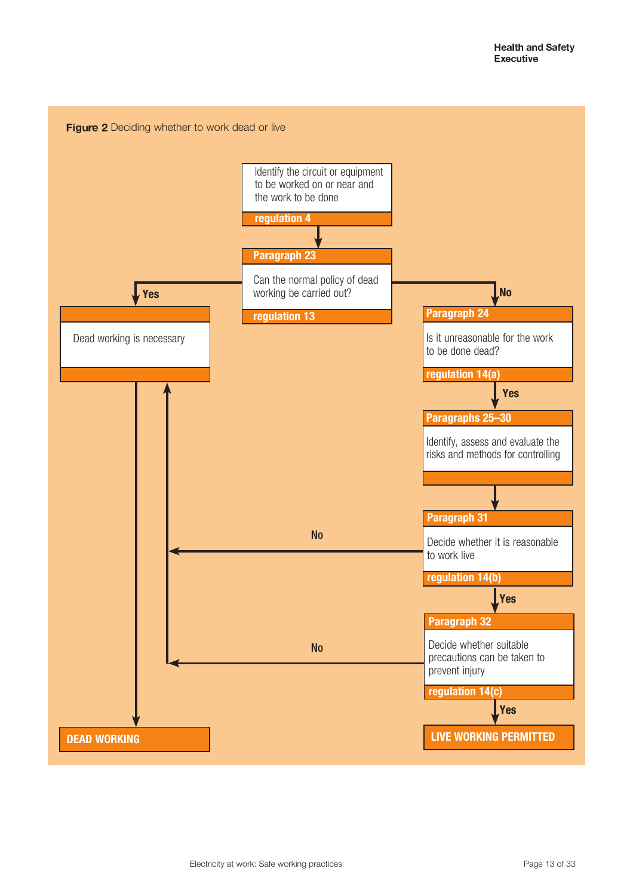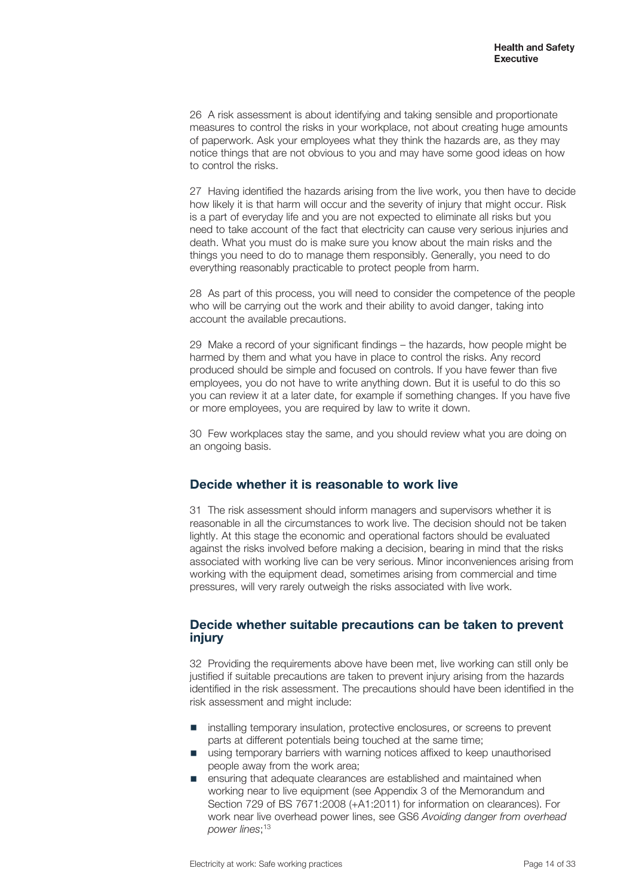26 A risk assessment is about identifying and taking sensible and proportionate measures to control the risks in your workplace, not about creating huge amounts of paperwork. Ask your employees what they think the hazards are, as they may notice things that are not obvious to you and may have some good ideas on how to control the risks.

27 Having identified the hazards arising from the live work, you then have to decide how likely it is that harm will occur and the severity of injury that might occur. Risk is a part of everyday life and you are not expected to eliminate all risks but you need to take account of the fact that electricity can cause very serious injuries and death. What you must do is make sure you know about the main risks and the things you need to do to manage them responsibly. Generally, you need to do everything reasonably practicable to protect people from harm.

28 As part of this process, you will need to consider the competence of the people who will be carrying out the work and their ability to avoid danger, taking into account the available precautions.

29 Make a record of your significant findings – the hazards, how people might be harmed by them and what you have in place to control the risks. Any record produced should be simple and focused on controls. If you have fewer than five employees, you do not have to write anything down. But it is useful to do this so you can review it at a later date, for example if something changes. If you have five or more employees, you are required by law to write it down.

30 Few workplaces stay the same, and you should review what you are doing on an ongoing basis.

### Decide whether it is reasonable to work live

31 The risk assessment should inform managers and supervisors whether it is reasonable in all the circumstances to work live. The decision should not be taken lightly. At this stage the economic and operational factors should be evaluated against the risks involved before making a decision, bearing in mind that the risks associated with working live can be very serious. Minor inconveniences arising from working with the equipment dead, sometimes arising from commercial and time pressures, will very rarely outweigh the risks associated with live work.

### Decide whether suitable precautions can be taken to prevent injury

32 Providing the requirements above have been met, live working can still only be justified if suitable precautions are taken to prevent injury arising from the hazards identified in the risk assessment. The precautions should have been identified in the risk assessment and might include:

- installing temporary insulation, protective enclosures, or screens to prevent parts at different potentials being touched at the same time;
- using temporary barriers with warning notices affixed to keep unauthorised people away from the work area;
- ensuring that adequate clearances are established and maintained when working near to live equipment (see Appendix 3 of the Memorandum and Section 729 of BS 7671:2008 (+A1:2011) for information on clearances). For work near live overhead power lines, see GS6 *Avoiding danger from overhead power lines*; 13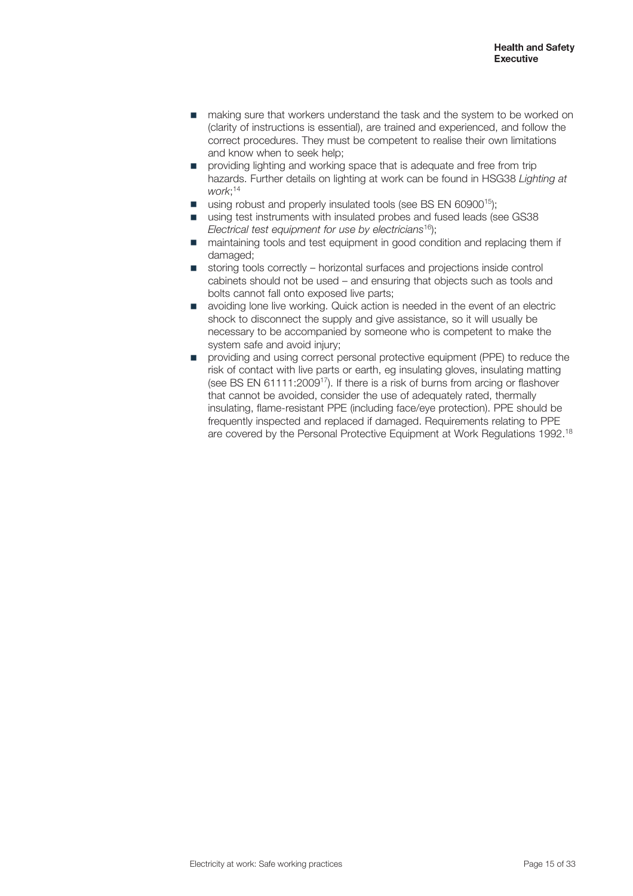- $\blacksquare$  making sure that workers understand the task and the system to be worked on (clarity of instructions is essential), are trained and experienced, and follow the correct procedures. They must be competent to realise their own limitations and know when to seek help;
- providing lighting and working space that is adequate and free from trip hazards. Further details on lighting at work can be found in HSG38 *Lighting at work*; 14
- $\blacksquare$  using robust and properly insulated tools (see BS EN 60900<sup>15</sup>);
- using test instruments with insulated probes and fused leads (see GS38) *Electrical test equipment for use by electricians*<sup>16</sup>);
- maintaining tools and test equipment in good condition and replacing them if damaged;
- storing tools correctly horizontal surfaces and projections inside control cabinets should not be used – and ensuring that objects such as tools and bolts cannot fall onto exposed live parts;
- avoiding lone live working. Quick action is needed in the event of an electric shock to disconnect the supply and give assistance, so it will usually be necessary to be accompanied by someone who is competent to make the system safe and avoid injury;
- providing and using correct personal protective equipment (PPE) to reduce the risk of contact with live parts or earth, eg insulating gloves, insulating matting (see BS EN 61111:2009<sup>17</sup>). If there is a risk of burns from arcing or flashover that cannot be avoided, consider the use of adequately rated, thermally insulating, flame-resistant PPE (including face/eye protection). PPE should be frequently inspected and replaced if damaged. Requirements relating to PPE are covered by the Personal Protective Equipment at Work Regulations 1992.18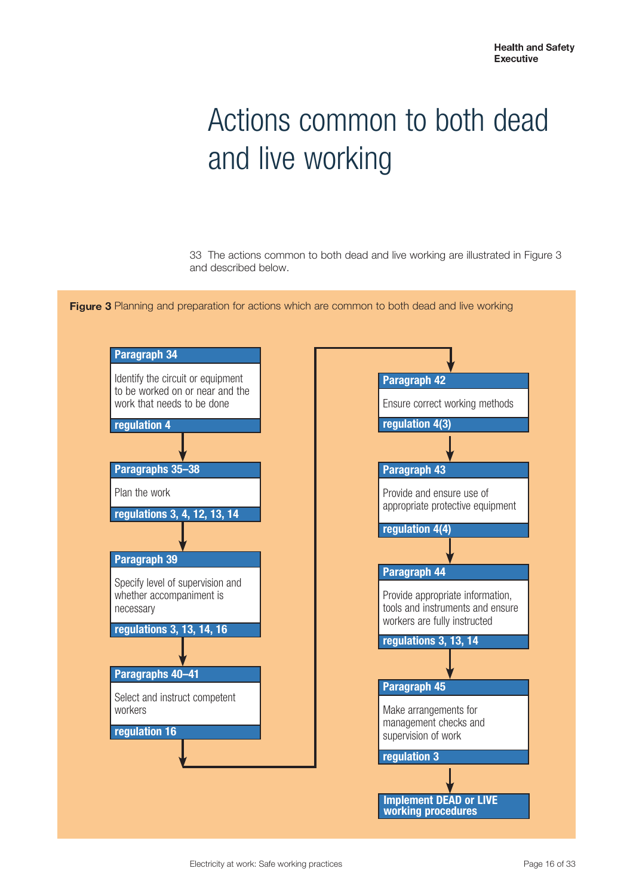# Actions common to both dead and live working

33 The actions common to both dead and live working are illustrated in Figure 3 and described below.



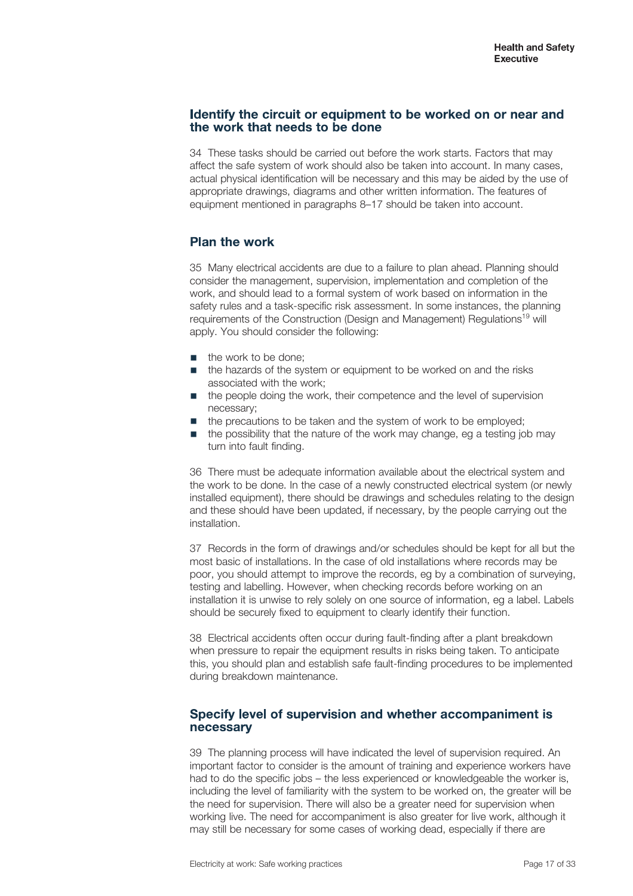### Identify the circuit or equipment to be worked on or near and the work that needs to be done

34 These tasks should be carried out before the work starts. Factors that may affect the safe system of work should also be taken into account. In many cases, actual physical identification will be necessary and this may be aided by the use of appropriate drawings, diagrams and other written information. The features of equipment mentioned in paragraphs 8–17 should be taken into account.

### **Plan the work**

35 Many electrical accidents are due to a failure to plan ahead. Planning should consider the management, supervision, implementation and completion of the work, and should lead to a formal system of work based on information in the safety rules and a task-specific risk assessment. In some instances, the planning requirements of the Construction (Design and Management) Regulations<sup>19</sup> will apply. You should consider the following:

- $\blacksquare$  the work to be done:
- the hazards of the system or equipment to be worked on and the risks associated with the work;
- $\blacksquare$  the people doing the work, their competence and the level of supervision necessary;
- the precautions to be taken and the system of work to be employed:
- the possibility that the nature of the work may change, eg a testing job may turn into fault finding.

36 There must be adequate information available about the electrical system and the work to be done. In the case of a newly constructed electrical system (or newly installed equipment), there should be drawings and schedules relating to the design and these should have been updated, if necessary, by the people carrying out the installation.

37 Records in the form of drawings and/or schedules should be kept for all but the most basic of installations. In the case of old installations where records may be poor, you should attempt to improve the records, eg by a combination of surveying, testing and labelling. However, when checking records before working on an installation it is unwise to rely solely on one source of information, eg a label. Labels should be securely fixed to equipment to clearly identify their function.

38 Electrical accidents often occur during fault-finding after a plant breakdown when pressure to repair the equipment results in risks being taken. To anticipate this, you should plan and establish safe fault-finding procedures to be implemented during breakdown maintenance.

### Specify level of supervision and whether accompaniment is necessary

39 The planning process will have indicated the level of supervision required. An important factor to consider is the amount of training and experience workers have had to do the specific jobs – the less experienced or knowledgeable the worker is, including the level of familiarity with the system to be worked on, the greater will be the need for supervision. There will also be a greater need for supervision when working live. The need for accompaniment is also greater for live work, although it may still be necessary for some cases of working dead, especially if there are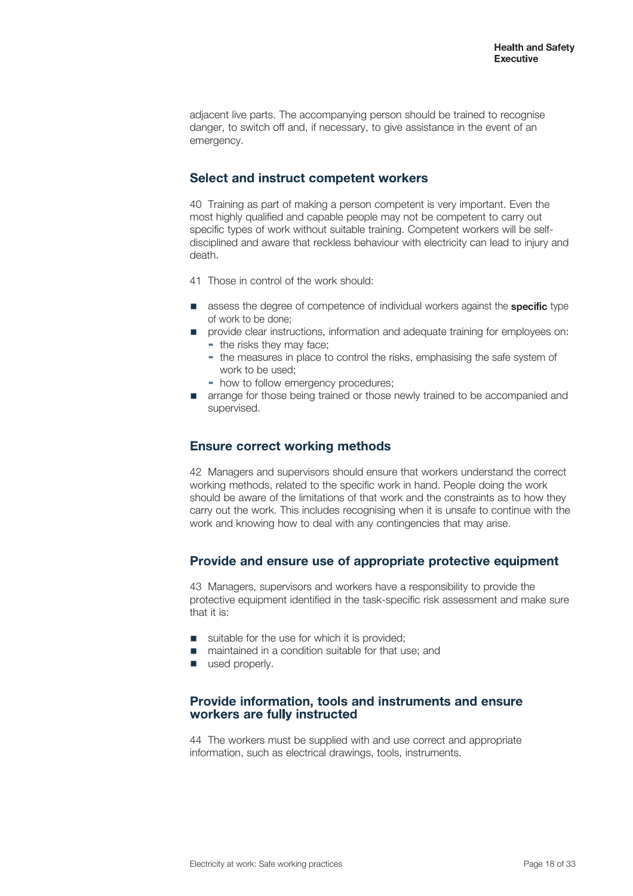adjacent live parts. The accompanying person should be trained to recognise danger, to switch off and, if necessary, to give assistance in the event of an emergency.

### **Select and instruct competent workers**

40 Training as part of making a person competent is very important. Even the most highly qualified and capable people may not be competent to carry out specific types of work without suitable training. Competent workers will be selfdisciplined and aware that reckless behaviour with electricity can lead to injury and death.

- 41 Those in control of the work should:
- assess the degree of competence of individual workers against the **specific** type of work to be done;
- provide clear instructions, information and adequate training for employees on: - the risks they may face:
	- the measures in place to control the risks, emphasising the safe system of work to be used;
	- how to follow emergency procedures;
- arrange for those being trained or those newly trained to be accompanied and supervised.

#### **Ensure correct working methods**

42 Managers and supervisors should ensure that workers understand the correct working methods, related to the specific work in hand. People doing the work should be aware of the limitations of that work and the constraints as to how they carry out the work. This includes recognising when it is unsafe to continue with the work and knowing how to deal with any contingencies that may arise.

#### Provide and ensure use of appropriate protective equipment

43 Managers, supervisors and workers have a responsibility to provide the protective equipment identified in the task-specific risk assessment and make sure that it is:

- $\blacksquare$  suitable for the use for which it is provided;<br> $\blacksquare$  maintained in a condition suitable for that use
- $\blacksquare$  maintained in a condition suitable for that use; and used properly
- used properly.

#### Provide information, tools and instruments and ensure workers are fully instructed

44 The workers must be supplied with and use correct and appropriate information, such as electrical drawings, tools, instruments.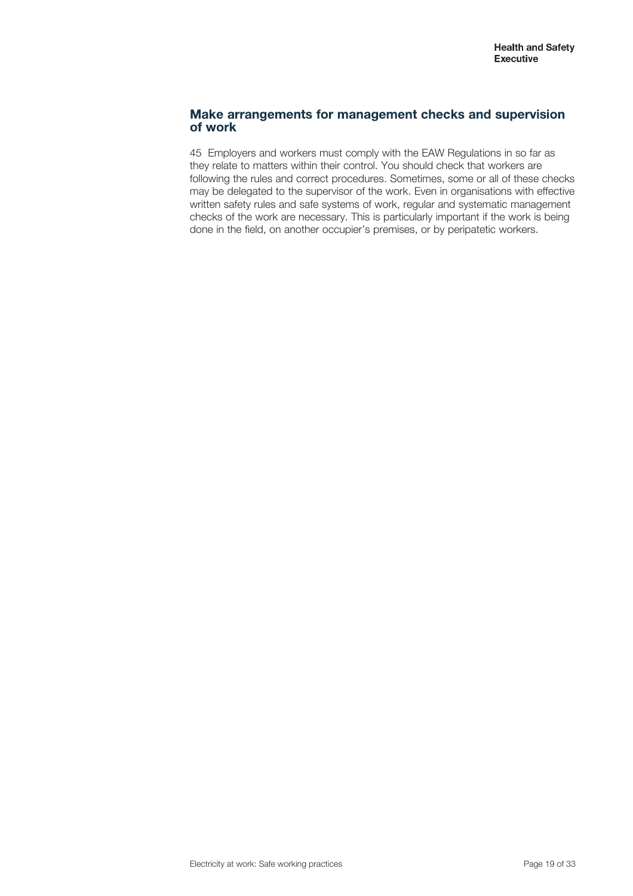### Make arrangements for management checks and supervision of work

45 Employers and workers must comply with the EAW Regulations in so far as they relate to matters within their control. You should check that workers are following the rules and correct procedures. Sometimes, some or all of these checks may be delegated to the supervisor of the work. Even in organisations with effective written safety rules and safe systems of work, regular and systematic management checks of the work are necessary. This is particularly important if the work is being done in the field, on another occupier's premises, or by peripatetic workers.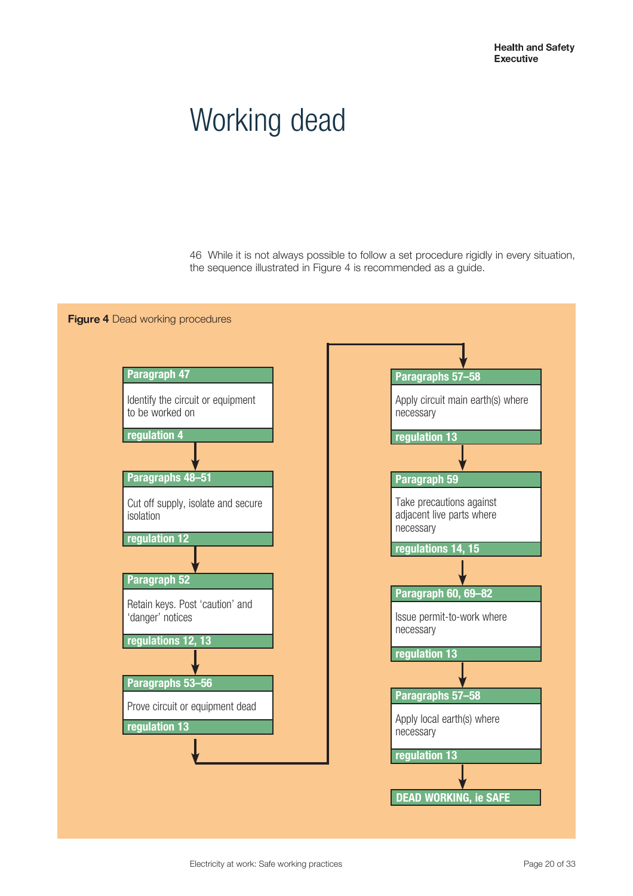### Working dead

46 While it is not always possible to follow a set procedure rigidly in every situation, the sequence illustrated in Figure 4 is recommended as a guide.

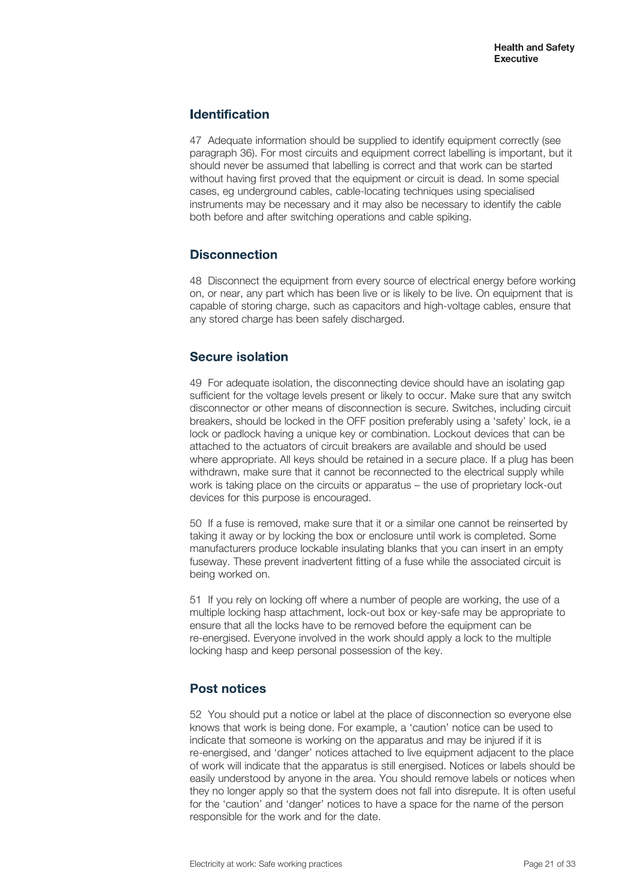### **Identification**

47 Adequate information should be supplied to identify equipment correctly (see paragraph 36). For most circuits and equipment correct labelling is important, but it should never be assumed that labelling is correct and that work can be started without having first proved that the equipment or circuit is dead. In some special cases, eg underground cables, cable-locating techniques using specialised instruments may be necessary and it may also be necessary to identify the cable both before and after switching operations and cable spiking.

### **Disconnection**

48 Disconnect the equipment from every source of electrical energy before working on, or near, any part which has been live or is likely to be live. On equipment that is capable of storing charge, such as capacitors and high-voltage cables, ensure that any stored charge has been safely discharged.

### **Secure isolation**

49 For adequate isolation, the disconnecting device should have an isolating gap sufficient for the voltage levels present or likely to occur. Make sure that any switch disconnector or other means of disconnection is secure. Switches, including circuit breakers, should be locked in the OFF position preferably using a 'safety' lock, ie a lock or padlock having a unique key or combination. Lockout devices that can be attached to the actuators of circuit breakers are available and should be used where appropriate. All keys should be retained in a secure place. If a plug has been withdrawn, make sure that it cannot be reconnected to the electrical supply while work is taking place on the circuits or apparatus – the use of proprietary lock-out devices for this purpose is encouraged.

50 If a fuse is removed, make sure that it or a similar one cannot be reinserted by taking it away or by locking the box or enclosure until work is completed. Some manufacturers produce lockable insulating blanks that you can insert in an empty fuseway. These prevent inadvertent fitting of a fuse while the associated circuit is being worked on.

51 If you rely on locking off where a number of people are working, the use of a multiple locking hasp attachment, lock-out box or key-safe may be appropriate to ensure that all the locks have to be removed before the equipment can be re-energised. Everyone involved in the work should apply a lock to the multiple locking hasp and keep personal possession of the key.

### **Post notices**

52 You should put a notice or label at the place of disconnection so everyone else knows that work is being done. For example, a 'caution' notice can be used to indicate that someone is working on the apparatus and may be injured if it is re-energised, and 'danger' notices attached to live equipment adjacent to the place of work will indicate that the apparatus is still energised. Notices or labels should be easily understood by anyone in the area. You should remove labels or notices when they no longer apply so that the system does not fall into disrepute. It is often useful for the 'caution' and 'danger' notices to have a space for the name of the person responsible for the work and for the date.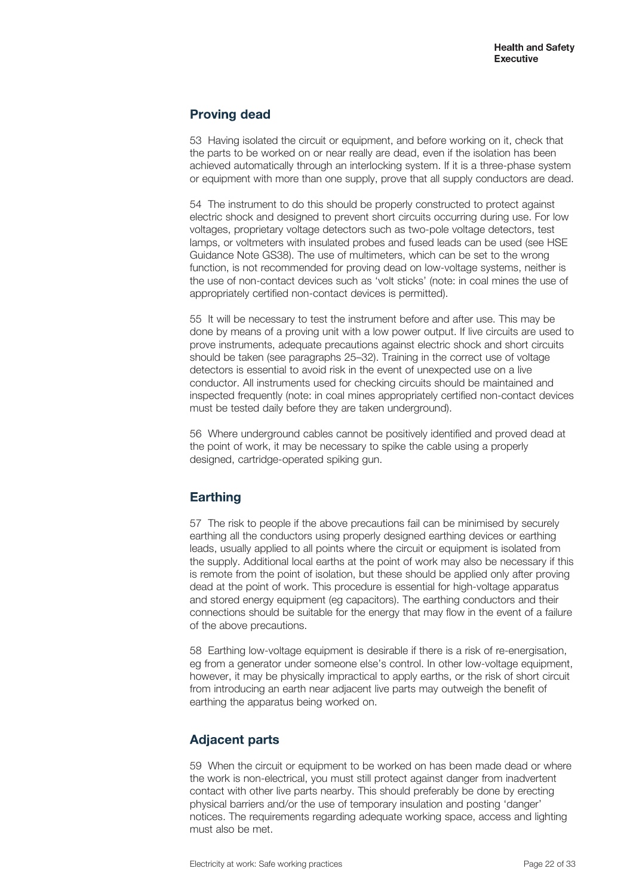### **Proving dead**

53 Having isolated the circuit or equipment, and before working on it, check that the parts to be worked on or near really are dead, even if the isolation has been achieved automatically through an interlocking system. If it is a three-phase system or equipment with more than one supply, prove that all supply conductors are dead.

54 The instrument to do this should be properly constructed to protect against electric shock and designed to prevent short circuits occurring during use. For low voltages, proprietary voltage detectors such as two-pole voltage detectors, test lamps, or voltmeters with insulated probes and fused leads can be used (see HSE Guidance Note GS38). The use of multimeters, which can be set to the wrong function, is not recommended for proving dead on low-voltage systems, neither is the use of non-contact devices such as 'volt sticks' (note: in coal mines the use of appropriately certified non-contact devices is permitted).

55 It will be necessary to test the instrument before and after use. This may be done by means of a proving unit with a low power output. If live circuits are used to prove instruments, adequate precautions against electric shock and short circuits should be taken (see paragraphs 25–32). Training in the correct use of voltage detectors is essential to avoid risk in the event of unexpected use on a live conductor. All instruments used for checking circuits should be maintained and inspected frequently (note: in coal mines appropriately certified non-contact devices must be tested daily before they are taken underground).

56 Where underground cables cannot be positively identified and proved dead at the point of work, it may be necessary to spike the cable using a properly designed, cartridge-operated spiking gun.

### **Earthing**

57 The risk to people if the above precautions fail can be minimised by securely earthing all the conductors using properly designed earthing devices or earthing leads, usually applied to all points where the circuit or equipment is isolated from the supply. Additional local earths at the point of work may also be necessary if this is remote from the point of isolation, but these should be applied only after proving dead at the point of work. This procedure is essential for high-voltage apparatus and stored energy equipment (eg capacitors). The earthing conductors and their connections should be suitable for the energy that may flow in the event of a failure of the above precautions.

58 Earthing low-voltage equipment is desirable if there is a risk of re-energisation, eg from a generator under someone else's control. In other low-voltage equipment, however, it may be physically impractical to apply earths, or the risk of short circuit from introducing an earth near adjacent live parts may outweigh the benefit of earthing the apparatus being worked on.

### **Adjacent parts**

59 When the circuit or equipment to be worked on has been made dead or where the work is non-electrical, you must still protect against danger from inadvertent contact with other live parts nearby. This should preferably be done by erecting physical barriers and/or the use of temporary insulation and posting 'danger' notices. The requirements regarding adequate working space, access and lighting must also be met.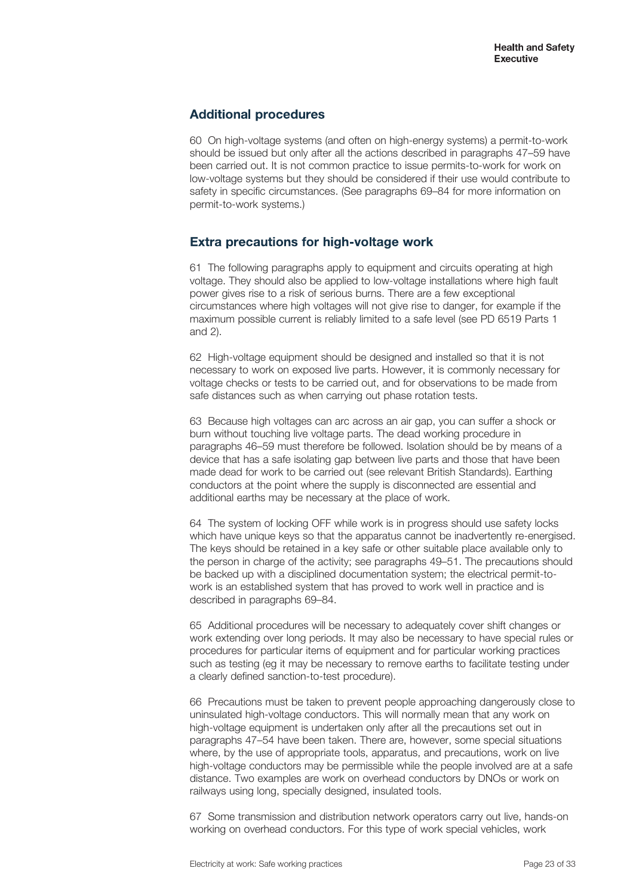### **Additional procedures**

60 On high-voltage systems (and often on high-energy systems) a permit-to-work should be issued but only after all the actions described in paragraphs 47–59 have been carried out. It is not common practice to issue permits-to-work for work on low-voltage systems but they should be considered if their use would contribute to safety in specific circumstances. (See paragraphs 69–84 for more information on permit-to-work systems.)

### **Extra precautions for high-voltage work**

61 The following paragraphs apply to equipment and circuits operating at high voltage. They should also be applied to low-voltage installations where high fault power gives rise to a risk of serious burns. There are a few exceptional circumstances where high voltages will not give rise to danger, for example if the maximum possible current is reliably limited to a safe level (see PD 6519 Parts 1 and 2).

62 High-voltage equipment should be designed and installed so that it is not necessary to work on exposed live parts. However, it is commonly necessary for voltage checks or tests to be carried out, and for observations to be made from safe distances such as when carrying out phase rotation tests.

63 Because high voltages can arc across an air gap, you can suffer a shock or burn without touching live voltage parts. The dead working procedure in paragraphs 46–59 must therefore be followed. Isolation should be by means of a device that has a safe isolating gap between live parts and those that have been made dead for work to be carried out (see relevant British Standards). Earthing conductors at the point where the supply is disconnected are essential and additional earths may be necessary at the place of work.

64 The system of locking OFF while work is in progress should use safety locks which have unique keys so that the apparatus cannot be inadvertently re-energised. The keys should be retained in a key safe or other suitable place available only to the person in charge of the activity; see paragraphs 49–51. The precautions should be backed up with a disciplined documentation system; the electrical permit-towork is an established system that has proved to work well in practice and is described in paragraphs 69–84.

65 Additional procedures will be necessary to adequately cover shift changes or work extending over long periods. It may also be necessary to have special rules or procedures for particular items of equipment and for particular working practices such as testing (eg it may be necessary to remove earths to facilitate testing under a clearly defined sanction-to-test procedure).

66 Precautions must be taken to prevent people approaching dangerously close to uninsulated high-voltage conductors. This will normally mean that any work on high-voltage equipment is undertaken only after all the precautions set out in paragraphs 47–54 have been taken. There are, however, some special situations where, by the use of appropriate tools, apparatus, and precautions, work on live high-voltage conductors may be permissible while the people involved are at a safe distance. Two examples are work on overhead conductors by DNOs or work on railways using long, specially designed, insulated tools.

67 Some transmission and distribution network operators carry out live, hands-on working on overhead conductors. For this type of work special vehicles, work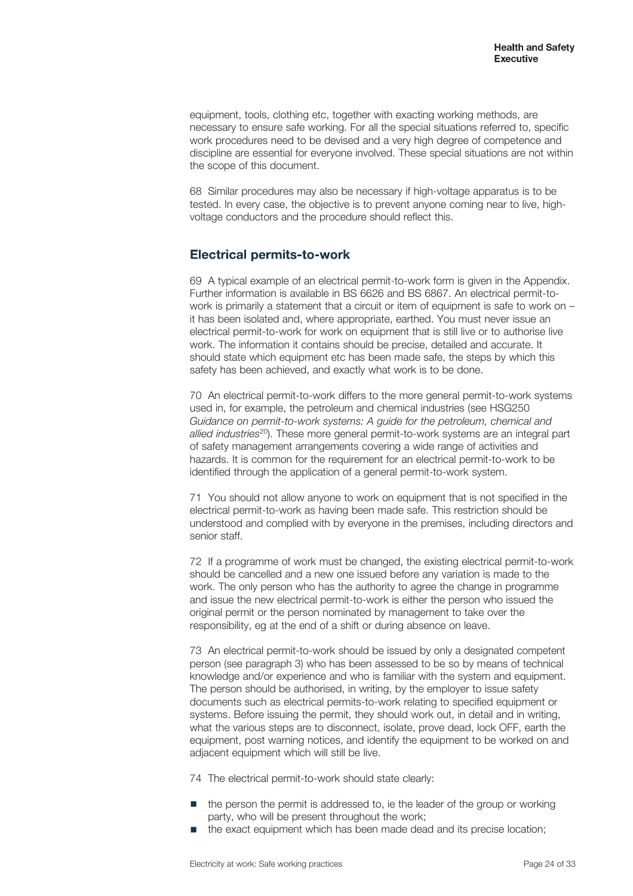equipment, tools, clothing etc, together with exacting working methods, are necessary to ensure safe working. For all the special situations referred to, specific work procedures need to be devised and a very high degree of competence and discipline are essential for everyone involved. These special situations are not within the scope of this document.

68 Similar procedures may also be necessary if high-voltage apparatus is to be tested. In every case, the objective is to prevent anyone coming near to live, highvoltage conductors and the procedure should reflect this.

### **Electrical permits-to-work**

69 A typical example of an electrical permit-to-work form is given in the Appendix. Further information is available in BS 6626 and BS 6867. An electrical permit-towork is primarily a statement that a circuit or item of equipment is safe to work on – it has been isolated and, where appropriate, earthed. You must never issue an electrical permit-to-work for work on equipment that is still live or to authorise live work. The information it contains should be precise, detailed and accurate. It should state which equipment etc has been made safe, the steps by which this safety has been achieved, and exactly what work is to be done.

70 An electrical permit-to-work differs to the more general permit-to-work systems used in, for example, the petroleum and chemical industries (see HSG250 *Guidance on permit-to-work systems: A guide for the petroleum, chemical and allied industries*<sup>20</sup>). These more general permit-to-work systems are an integral part of safety management arrangements covering a wide range of activities and hazards. It is common for the requirement for an electrical permit-to-work to be identified through the application of a general permit-to-work system.

71 You should not allow anyone to work on equipment that is not specified in the electrical permit-to-work as having been made safe. This restriction should be understood and complied with by everyone in the premises, including directors and senior staff.

72 If a programme of work must be changed, the existing electrical permit-to-work should be cancelled and a new one issued before any variation is made to the work. The only person who has the authority to agree the change in programme and issue the new electrical permit-to-work is either the person who issued the original permit or the person nominated by management to take over the responsibility, eg at the end of a shift or during absence on leave.

73 An electrical permit-to-work should be issued by only a designated competent person (see paragraph 3) who has been assessed to be so by means of technical knowledge and/or experience and who is familiar with the system and equipment. The person should be authorised, in writing, by the employer to issue safety documents such as electrical permits-to-work relating to specified equipment or systems. Before issuing the permit, they should work out, in detail and in writing, what the various steps are to disconnect, isolate, prove dead, lock OFF, earth the equipment, post warning notices, and identify the equipment to be worked on and adiacent equipment which will still be live.

74 The electrical permit-to-work should state clearly:

- the person the permit is addressed to, ie the leader of the group or working party, who will be present throughout the work;
- the exact equipment which has been made dead and its precise location;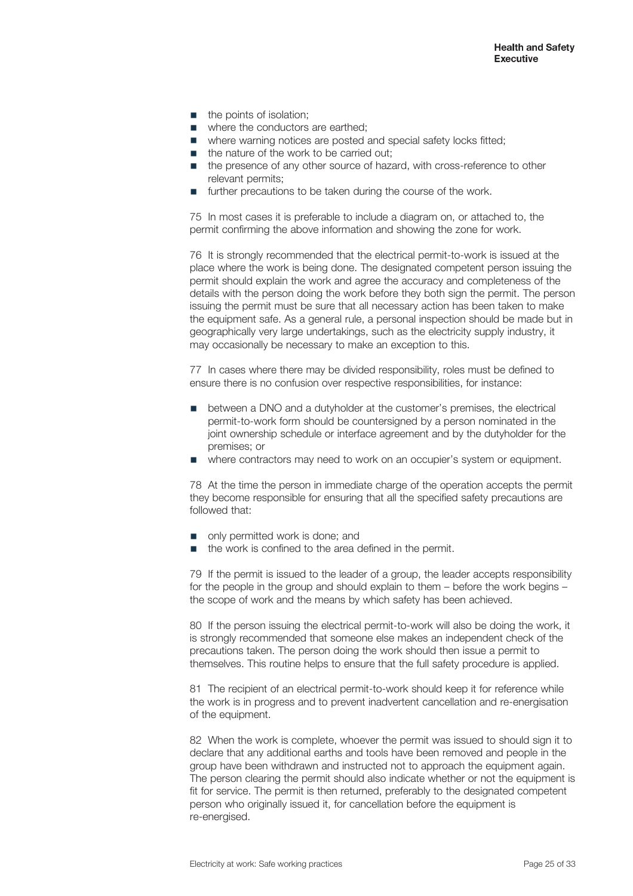- $\blacksquare$  the points of isolation;
- where the conductors are earthed;
- where warning notices are posted and special safety locks fitted;
- the nature of the work to be carried out;
- the presence of any other source of hazard, with cross-reference to other relevant permits;
- further precautions to be taken during the course of the work.

75 In most cases it is preferable to include a diagram on, or attached to, the permit confirming the above information and showing the zone for work.

76 It is strongly recommended that the electrical permit-to-work is issued at the place where the work is being done. The designated competent person issuing the permit should explain the work and agree the accuracy and completeness of the details with the person doing the work before they both sign the permit. The person issuing the permit must be sure that all necessary action has been taken to make the equipment safe. As a general rule, a personal inspection should be made but in geographically very large undertakings, such as the electricity supply industry, it may occasionally be necessary to make an exception to this.

77 In cases where there may be divided responsibility, roles must be defined to ensure there is no confusion over respective responsibilities, for instance:

- between a DNO and a dutyholder at the customer's premises, the electrical permit-to-work form should be countersigned by a person nominated in the joint ownership schedule or interface agreement and by the dutyholder for the premises; or
- where contractors may need to work on an occupier's system or equipment.

78 At the time the person in immediate charge of the operation accepts the permit they become responsible for ensuring that all the specified safety precautions are followed that:

- only permitted work is done; and
- the work is confined to the area defined in the permit.

79 If the permit is issued to the leader of a group, the leader accepts responsibility for the people in the group and should explain to them – before the work begins – the scope of work and the means by which safety has been achieved.

80 If the person issuing the electrical permit-to-work will also be doing the work, it is strongly recommended that someone else makes an independent check of the precautions taken. The person doing the work should then issue a permit to themselves. This routine helps to ensure that the full safety procedure is applied.

81 The recipient of an electrical permit-to-work should keep it for reference while the work is in progress and to prevent inadvertent cancellation and re-energisation of the equipment.

82 When the work is complete, whoever the permit was issued to should sign it to declare that any additional earths and tools have been removed and people in the group have been withdrawn and instructed not to approach the equipment again. The person clearing the permit should also indicate whether or not the equipment is fit for service. The permit is then returned, preferably to the designated competent person who originally issued it, for cancellation before the equipment is re-energised.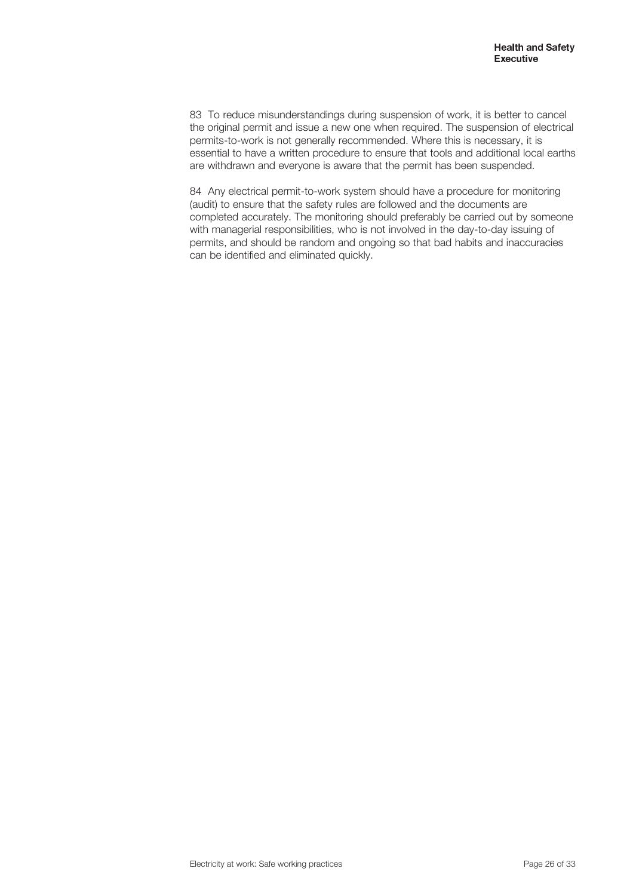83 To reduce misunderstandings during suspension of work, it is better to cancel the original permit and issue a new one when required. The suspension of electrical permits-to-work is not generally recommended. Where this is necessary, it is essential to have a written procedure to ensure that tools and additional local earths are withdrawn and everyone is aware that the permit has been suspended.

84 Any electrical permit-to-work system should have a procedure for monitoring (audit) to ensure that the safety rules are followed and the documents are completed accurately. The monitoring should preferably be carried out by someone with managerial responsibilities, who is not involved in the day-to-day issuing of permits, and should be random and ongoing so that bad habits and inaccuracies can be identified and eliminated quickly.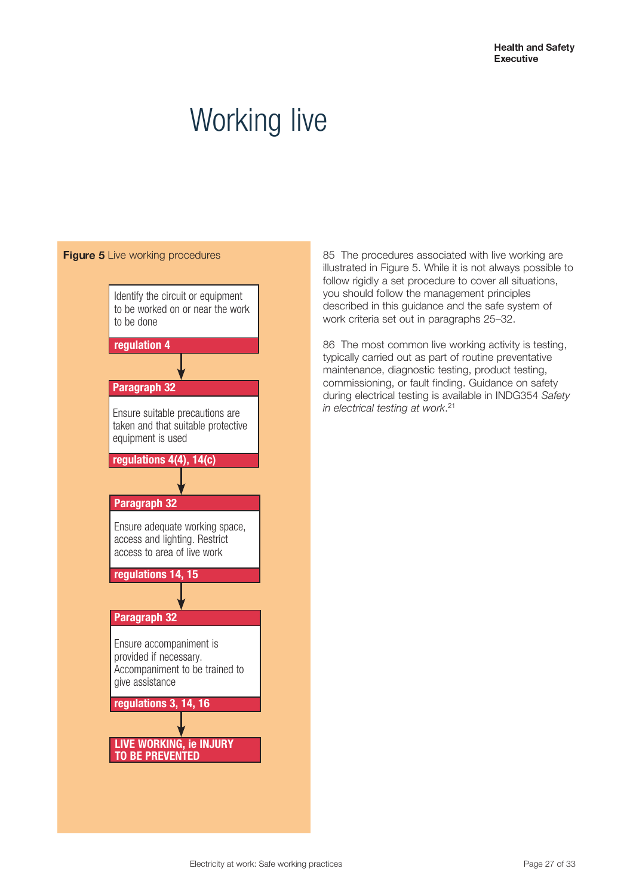### Working live



85 The procedures associated with live working are illustrated in Figure 5. While it is not always possible to follow rigidly a set procedure to cover all situations, you should follow the management principles described in this guidance and the safe system of work criteria set out in paragraphs 25–32.

86 The most common live working activity is testing, typically carried out as part of routine preventative maintenance, diagnostic testing, product testing, commissioning, or fault finding. Guidance on safety during electrical testing is available in INDG354 *Safety in electrical testing at work*. 21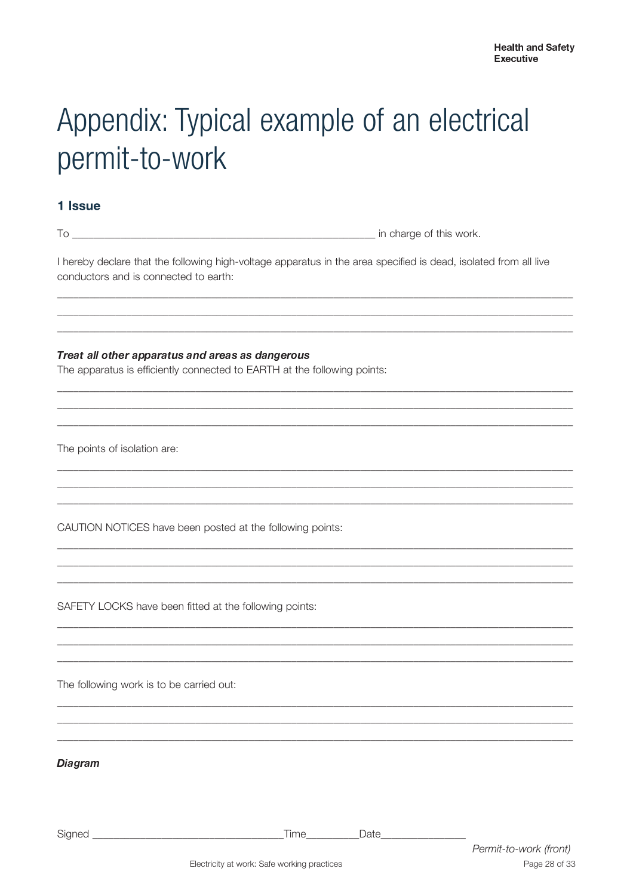# Appendix: Typical example of an electrical permit-to-work

### 1 Issue

I hereby declare that the following high-voltage apparatus in the area specified is dead, isolated from all live conductors and is connected to earth:

#### Treat all other apparatus and areas as dangerous

The apparatus is efficiently connected to EARTH at the following points:

The points of isolation are:

CAUTION NOTICES have been posted at the following points:

SAFETY LOCKS have been fitted at the following points:

The following work is to be carried out:

**Diagram** 

Signed Date **Date**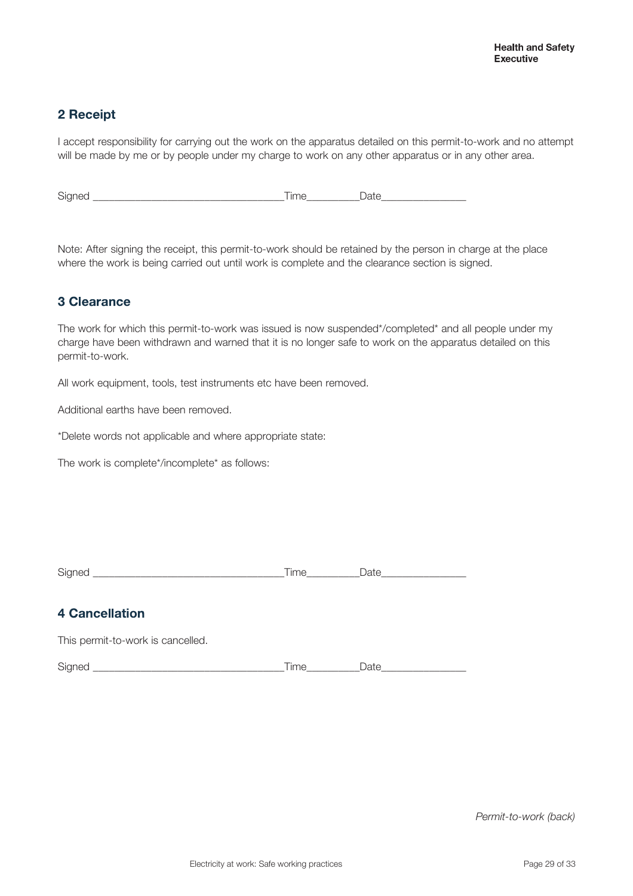### 2 Receipt

I accept responsibility for carrying out the work on the apparatus detailed on this permit-to-work and no attempt will be made by me or by people under my charge to work on any other apparatus or in any other area.

Signed \_\_\_\_\_\_\_\_\_\_\_\_\_\_\_\_\_\_\_\_\_\_\_\_\_\_\_\_\_\_\_\_\_\_\_\_Time\_\_\_\_\_\_\_\_\_\_Date\_\_\_\_\_\_\_\_\_\_\_\_\_\_\_\_

Note: After signing the receipt, this permit-to-work should be retained by the person in charge at the place where the work is being carried out until work is complete and the clearance section is signed.

### **3 Clearance**

The work for which this permit-to-work was issued is now suspended\*/completed\* and all people under my charge have been withdrawn and warned that it is no longer safe to work on the apparatus detailed on this permit-to-work.

All work equipment, tools, test instruments etc have been removed.

Additional earths have been removed.

\*Delete words not applicable and where appropriate state:

The work is complete\*/incomplete\* as follows:

| ____________________________ |  |
|------------------------------|--|
|                              |  |

### **4 Cancellation**

This permit-to-work is cancelled.

Signed \_\_\_\_\_\_\_\_\_\_\_\_\_\_\_\_\_\_\_\_\_\_\_\_\_\_\_\_\_\_\_\_\_\_\_\_Time\_\_\_\_\_\_\_\_\_\_Date\_\_\_\_\_\_\_\_\_\_\_\_\_\_\_\_

*Permit-to-work (back)*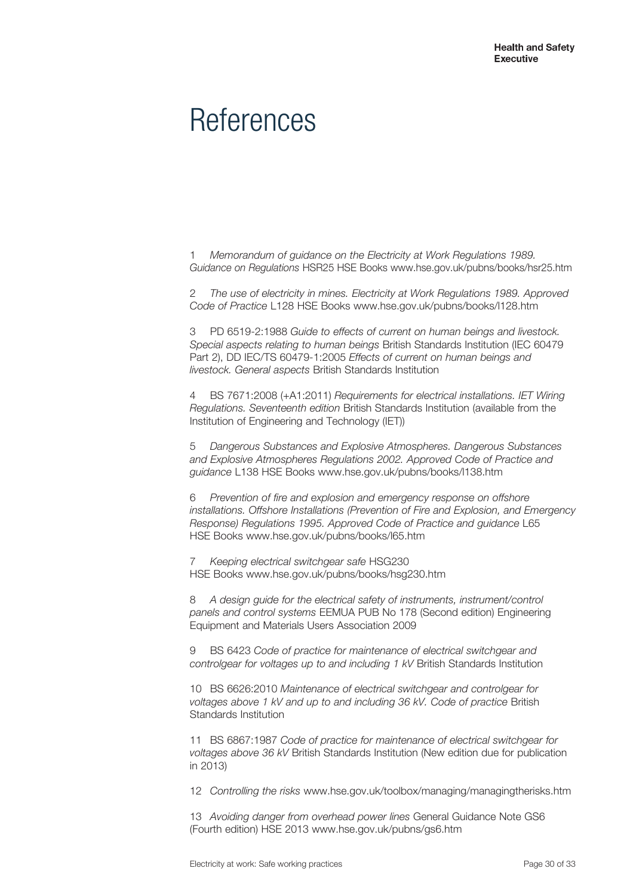### References

1 *Memorandum of guidance on the Electricity at Work Regulations 1989. Guidance on Regulations* HSR25 HSE Books www.hse.gov.uk/pubns/books/hsr25.htm

2 *The use of electricity in mines. Electricity at Work Regulations 1989. Approved Code of Practice* L128 HSE Books www.hse.gov.uk/pubns/books/l128.htm

3 PD 6519-2:1988 *Guide to effects of current on human beings and livestock. Special aspects relating to human beings* British Standards Institution (IEC 60479 Part 2), DD IEC/TS 60479-1:2005 *Effects of current on human beings and livestock. General aspects* British Standards Institution

4 BS 7671:2008 (+A1:2011) *Requirements for electrical installations. IET Wiring Regulations. Seventeenth edition* British Standards Institution (available from the Institution of Engineering and Technology (IET))

5 *Dangerous Substances and Explosive Atmospheres. Dangerous Substances and Explosive Atmospheres Regulations 2002. Approved Code of Practice and guidance* L138 HSE Books www.hse.gov.uk/pubns/books/l138.htm

6 *Prevention of fire and explosion and emergency response on offshore installations. Offshore Installations (Prevention of Fire and Explosion, and Emergency Response) Regulations 1995. Approved Code of Practice and guidance* L65 HSE Books www.hse.gov.uk/pubns/books/l65.htm

7 *Keeping electrical switchgear safe* HSG230 HSE Books www.hse.gov.uk/pubns/books/hsg230.htm

8 *A design guide for the electrical safety of instruments, instrument/control panels and control systems* EEMUA PUB No 178 (Second edition) Engineering Equipment and Materials Users Association 2009

9 BS 6423 *Code of practice for maintenance of electrical switchgear and controlgear for voltages up to and including 1 kV* British Standards Institution

10 BS 6626:2010 *Maintenance of electrical switchgear and controlgear for voltages above 1 kV and up to and including 36 kV. Code of practice* British Standards Institution

11 BS 6867:1987 *Code of practice for maintenance of electrical switchgear for voltages above 36 kV* British Standards Institution (New edition due for publication in 2013)

12 *Controlling the risks* www.hse.gov.uk/toolbox/managing/managingtherisks.htm

13 *Avoiding danger from overhead power lines* General Guidance Note GS6 (Fourth edition) HSE 2013 www.hse.gov.uk/pubns/gs6.htm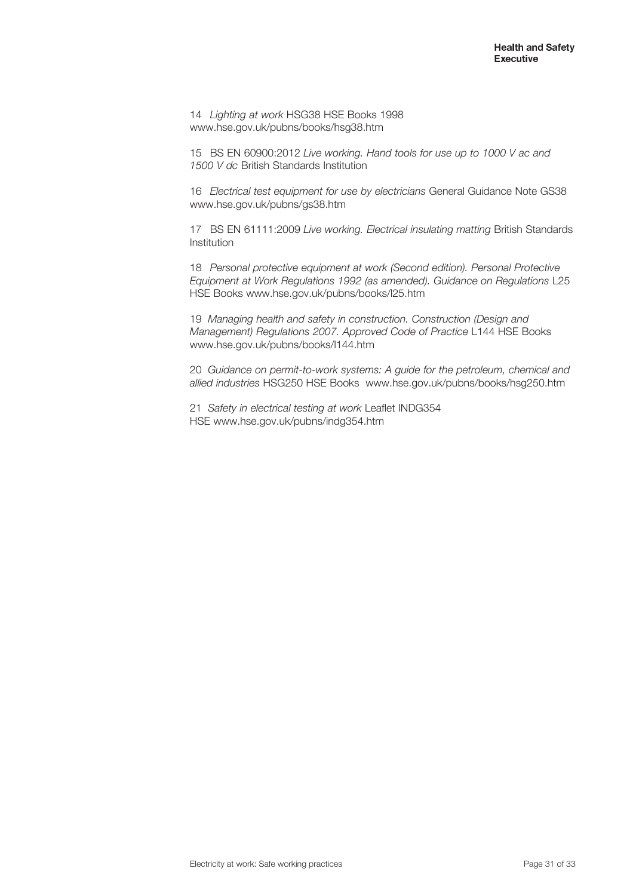14 *Lighting at work* HSG38 HSE Books 1998 www.hse.gov.uk/pubns/books/hsg38.htm

15 BS EN 60900:2012 *Live working. Hand tools for use up to 1000 V ac and 1500 V dc* British Standards Institution

16 *Electrical test equipment for use by electricians* General Guidance Note GS38 www.hse.gov.uk/pubns/gs38.htm

17 BS EN 61111:2009 *Live working. Electrical insulating matting* British Standards Institution

18 *Personal protective equipment at work (Second edition). Personal Protective Equipment at Work Regulations 1992 (as amended). Guidance on Regulations* L25 HSE Books www.hse.gov.uk/pubns/books/l25.htm

19 *Managing health and safety in construction. Construction (Design and Management) Regulations 2007. Approved Code of Practice* L144 HSE Books www.hse.gov.uk/pubns/books/l144.htm

20 *Guidance on permit-to-work systems: A guide for the petroleum, chemical and allied industries* HSG250 HSE Books www.hse.gov.uk/pubns/books/hsg250.htm

21 *Safety in electrical testing at work* Leaflet INDG354 HSE www.hse.gov.uk/pubns/indg354.htm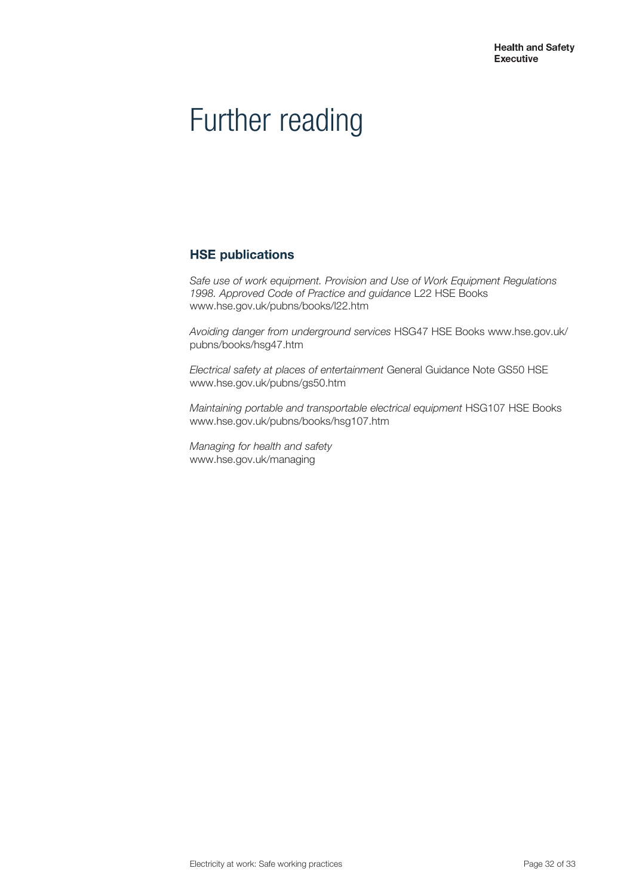### Further reading

### **HSE publications**

*Safe use of work equipment. Provision and Use of Work Equipment Regulations 1998. Approved Code of Practice and guidance* L22 HSE Books www.hse.gov.uk/pubns/books/l22.htm

*Avoiding danger from underground services* HSG47 HSE Books www.hse.gov.uk/ pubns/books/hsg47.htm

*Electrical safety at places of entertainment* General Guidance Note GS50 HSE www.hse.gov.uk/pubns/gs50.htm

*Maintaining portable and transportable electrical equipment* HSG107 HSE Books www.hse.gov.uk/pubns/books/hsg107.htm

*Managing for health and safety*  www.hse.gov.uk/managing